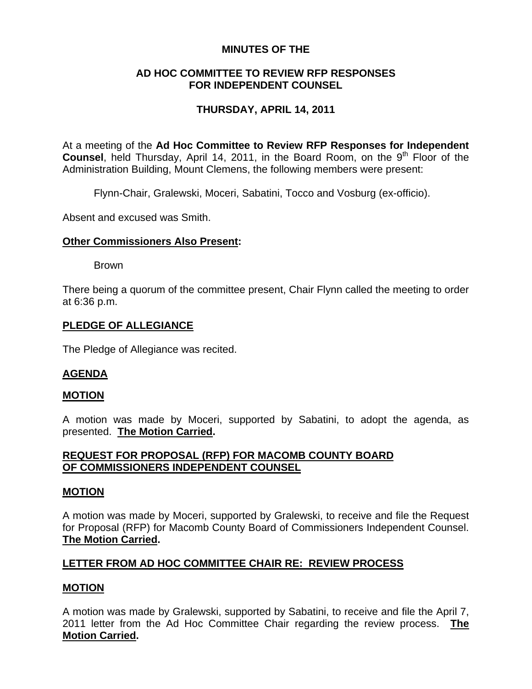# **MINUTES OF THE**

# **AD HOC COMMITTEE TO REVIEW RFP RESPONSES FOR INDEPENDENT COUNSEL**

# **THURSDAY, APRIL 14, 2011**

At a meeting of the **Ad Hoc Committee to Review RFP Responses for Independent Counsel**, held Thursday, April 14, 2011, in the Board Room, on the 9<sup>th</sup> Floor of the Administration Building, Mount Clemens, the following members were present:

Flynn-Chair, Gralewski, Moceri, Sabatini, Tocco and Vosburg (ex-officio).

Absent and excused was Smith.

### **Other Commissioners Also Present:**

Brown

There being a quorum of the committee present, Chair Flynn called the meeting to order at 6:36 p.m.

### **PLEDGE OF ALLEGIANCE**

The Pledge of Allegiance was recited.

# **AGENDA**

### **MOTION**

A motion was made by Moceri, supported by Sabatini, to adopt the agenda, as presented. **The Motion Carried.** 

# **REQUEST FOR PROPOSAL (RFP) FOR MACOMB COUNTY BOARD OF COMMISSIONERS INDEPENDENT COUNSEL**

### **MOTION**

A motion was made by Moceri, supported by Gralewski, to receive and file the Request for Proposal (RFP) for Macomb County Board of Commissioners Independent Counsel. **The Motion Carried.** 

# **LETTER FROM AD HOC COMMITTEE CHAIR RE: REVIEW PROCESS**

# **MOTION**

A motion was made by Gralewski, supported by Sabatini, to receive and file the April 7, 2011 letter from the Ad Hoc Committee Chair regarding the review process. **The Motion Carried.**